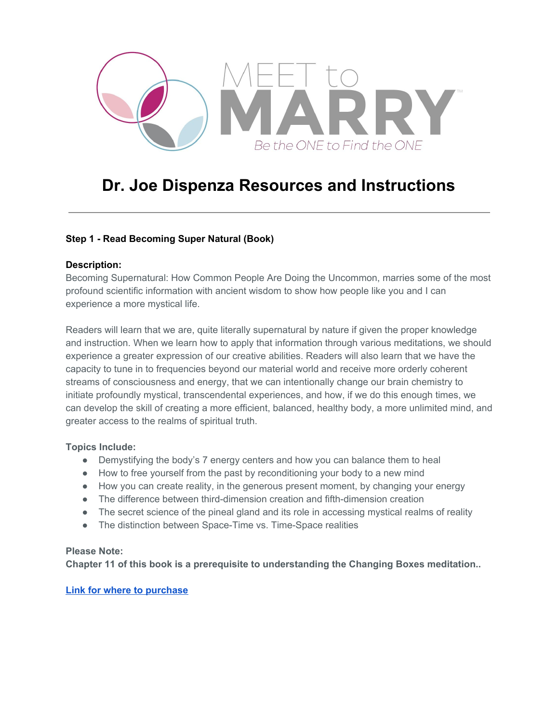

# **Dr. Joe Dispenza Resources and Instructions**

## **Step 1 - Read Becoming Super Natural (Book)**

### **Description:**

Becoming Supernatural: How Common People Are Doing the Uncommon, marries some of the most profound scientific information with ancient wisdom to show how people like you and I can experience a more mystical life.

Readers will learn that we are, quite literally supernatural by nature if given the proper knowledge and instruction. When we learn how to apply that information through various meditations, we should experience a greater expression of our creative abilities. Readers will also learn that we have the capacity to tune in to frequencies beyond our material world and receive more orderly coherent streams of consciousness and energy, that we can intentionally change our brain chemistry to initiate profoundly mystical, transcendental experiences, and how, if we do this enough times, we can develop the skill of creating a more efficient, balanced, healthy body, a more unlimited mind, and greater access to the realms of spiritual truth.

## **Topics Include:**

- Demystifying the body's 7 energy centers and how you can balance them to heal
- How to free yourself from the past by reconditioning your body to a new mind
- How you can create reality, in the generous present moment, by changing your energy
- The difference between third-dimension creation and fifth-dimension creation
- The secret science of the pineal gland and its role in accessing mystical realms of reality
- The distinction between Space-Time vs. Time-Space realities

#### **Please Note:**

**Chapter 11 of this book is a prerequisite to understanding the Changing Boxes meditation..**

**[Link for where to purchase](https://www.amazon.com/gp/product/1401953115/ref=as_li_qf_asin_il_tl?ie=UTF8&tag=meettomarry08-20&creative=9325&linkCode=as2&creativeASIN=1401953115&linkId=97c38868f8a57f475b313d1a426046b2)**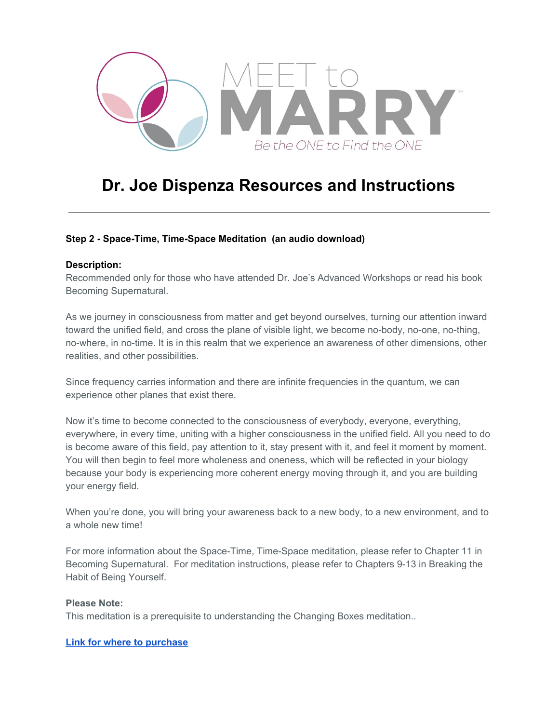

# **Dr. Joe Dispenza Resources and Instructions**

## **Step 2 - Space-Time, Time-Space Meditation (an audio download)**

#### **Description:**

Recommended only for those who have attended Dr. Joe's Advanced Workshops or read his book Becoming Supernatural.

As we journey in consciousness from matter and get beyond ourselves, turning our attention inward toward the unified field, and cross the plane of visible light, we become no-body, no-one, no-thing, no-where, in no-time. It is in this realm that we experience an awareness of other dimensions, other realities, and other possibilities.

Since frequency carries information and there are infinite frequencies in the quantum, we can experience other planes that exist there.

Now it's time to become connected to the consciousness of everybody, everyone, everything, everywhere, in every time, uniting with a higher consciousness in the unified field. All you need to do is become aware of this field, pay attention to it, stay present with it, and feel it moment by moment. You will then begin to feel more wholeness and oneness, which will be reflected in your biology because your body is experiencing more coherent energy moving through it, and you are building your energy field.

When you're done, you will bring your awareness back to a new body, to a new environment, and to a whole new time!

For more information about the Space-Time, Time-Space meditation, please refer to Chapter 11 in Becoming Supernatural. For meditation instructions, please refer to Chapters 9-13 in Breaking the Habit of Being Yourself.

#### **Please Note:**

This meditation is a prerequisite to understanding the Changing Boxes meditation..

#### **[Link for where to purchase](https://www.amazon.com/gp/product/B077XFVJ8L/ref=as_li_qf_asin_il_tl?ie=UTF8&tag=meettomarry08-20&creative=9325&linkCode=as2&creativeASIN=B077XFVJ8L&linkId=1646ca4e7f1c43731ec2095f590b5d88)**